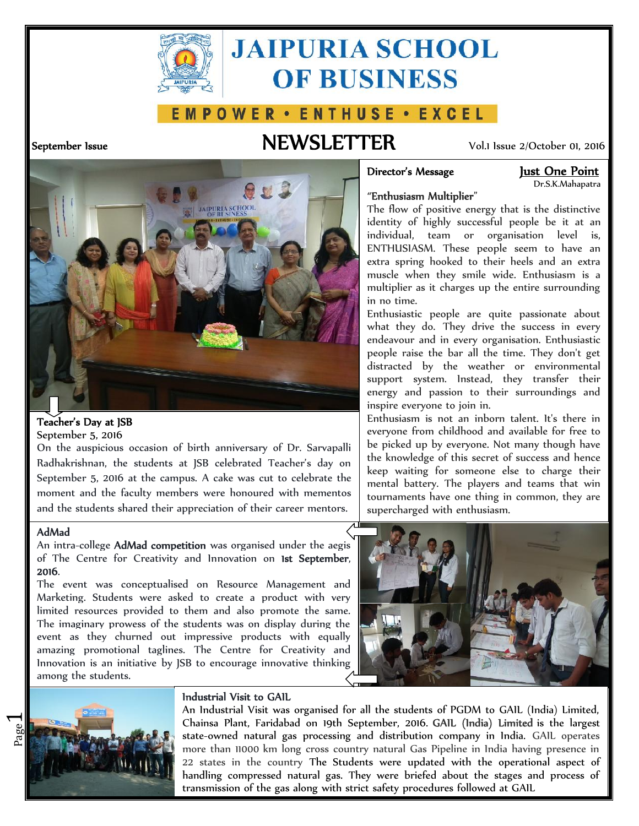

# **JAIPURIA SCHOOL OF BUSINESS**

## E M P O W E R · E N T H U S E · E X C E L

## **September Issue NEWSLETTER** Vol.1 Issue 2/October 01, 2016



in no time.

"**Enthusiasm Multiplier**"

inspire everyone to join in.

The flow of positive energy that is the distinctive identity of highly successful people be it at an individual, team or organisation level is, ENTHUSIASM. These people seem to have an extra spring hooked to their heels and an extra muscle when they smile wide. Enthusiasm is a multiplier as it charges up the entire surrounding

Enthusiastic people are quite passionate about what they do. They drive the success in every endeavour and in every organisation. Enthusiastic people raise the bar all the time. They don't get distracted by the weather or environmental support system. Instead, they transfer their energy and passion to their surroundings and

Enthusiasm is not an inborn talent. It's there in everyone from childhood and available for free to be picked up by everyone. Not many though have the knowledge of this secret of success and hence keep waiting for someone else to charge their mental battery. The players and teams that win tournaments have one thing in common, they are

## Dr.S.K.Mahapatra



### **Teacher's Day at JSB**

September 5, 2016

On the auspicious occasion of birth anniversary of Dr. Sarvapalli Radhakrishnan, the students at JSB celebrated Teacher's day on September 5, 2016 at the campus. A cake was cut to celebrate the moment and the faculty members were honoured with mementos and the students shared their appreciation of their career mentors.

#### **AdMad**

An intra-college **AdMad competition** was organised under the aegis of The Centre for Creativity and Innovation on **1st September**, **2016**.

The event was conceptualised on Resource Management and Marketing. Students were asked to create a product with very limited resources provided to them and also promote the same. The imaginary prowess of the students was on display during the event as they churned out impressive products with equally amazing promotional taglines. The Centre for Creativity and Innovation is an initiative by JSB to encourage innovative thinking among the students.





#### **Industrial Visit to GAIL**

An Industrial Visit was organised for all the students of PGDM to GAIL (India) Limited, Chainsa Plant, Faridabad on 19th September, 2016. **GAIL (India) Limited** is the largest state-owned natural gas processing and distribution company in India. GAIL operates more than 11000 km long cross country natural Gas Pipeline in India having presence in 22 states in the country The Students were updated with the operational aspect of handling compressed natural gas. They were briefed about the stages and process of transmission of the gas along with strict safety procedures followed at GAIL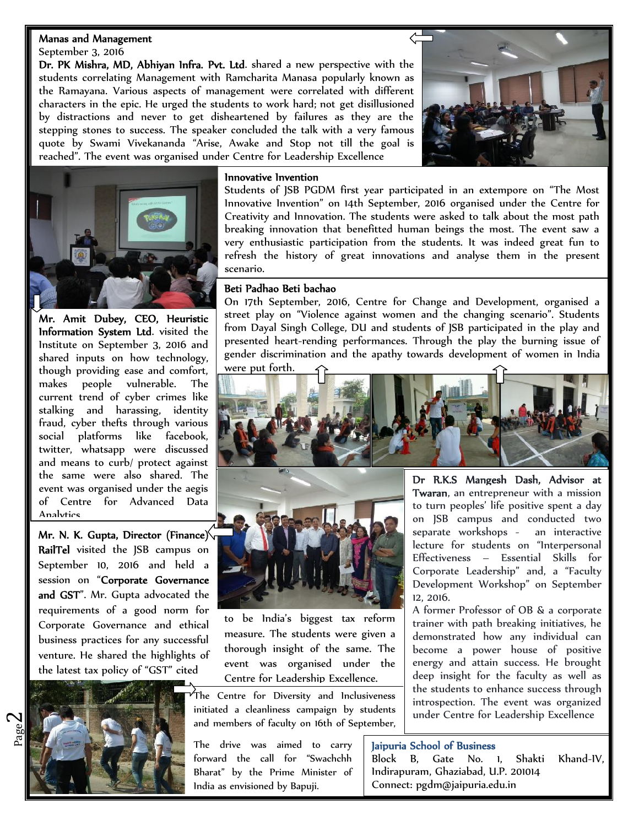#### **Manas and Management**

September 3, 2016

**Dr. PK Mishra, MD, Abhiyan Infra. Pvt. Ltd**. shared a new perspective with the students correlating Management with Ramcharita Manasa popularly known as the Ramayana. Various aspects of management were correlated with different characters in the epic. He urged the students to work hard; not get disillusioned by distractions and never to get disheartened by failures as they are the stepping stones to success. The speaker concluded the talk with a very famous quote by Swami Vivekananda "Arise, Awake and Stop not till the goal is reached". The event was organised under Centre for Leadership Excellence





**Mr. Amit Dubey, CEO, Heuristic Information System Ltd**. visited the Institute on September 3, 2016 and shared inputs on how technology, though providing ease and comfort, makes people vulnerable. The current trend of cyber crimes like stalking and harassing, identity fraud, cyber thefts through various social platforms like facebook, twitter, whatsapp were discussed and means to curb/ protect against the same were also shared. The event was organised under the aegis of Centre for Advanced Data **Analytics** 

**Mr. N. K. Gupta, Director (Finance) RailTel** visited the JSB campus on September 10, 2016 and held a session on "**Corporate Governance and GST**". Mr. Gupta advocated the requirements of a good norm for Corporate Governance and ethical business practices for any successful venture. He shared the highlights of the latest tax policy of "GST" cited



#### **Innovative Invention**

Students of JSB PGDM first year participated in an extempore on "The Most Innovative Invention" on 14th September, 2016 organised under the Centre for Creativity and Innovation. The students were asked to talk about the most path breaking innovation that benefitted human beings the most. The event saw a very enthusiastic participation from the students. It was indeed great fun to refresh the history of great innovations and analyse them in the present scenario.

#### **Beti Padhao Beti bachao**

On 17th September, 2016, Centre for Change and Development, organised a street play on "Violence against women and the changing scenario". Students from Dayal Singh College, DU and students of JSB participated in the play and presented heart-rending performances. Through the play the burning issue of gender discrimination and the apathy towards development of women in India were put forth.





to be India's biggest tax reform measure. The students were given a thorough insight of the same. The event was organised under the Centre for Leadership Excellence.

The Centre for Diversity and Inclusiveness initiated a cleanliness campaign by students and members of faculty on 16th of September,

The drive was aimed to carry  $\boxed{\phantom{a} \phantom{\a} \mathbf{a} \mathbf{a} \mathbf{r}}$ forward the call for "Swachchh Bharat" by the Prime Minister of India as envisioned by Bapuji.

**Dr R.K.S Mangesh Dash, Advisor at Twaran**, an entrepreneur with a mission to turn peoples' life positive spent a day on JSB campus and conducted two separate workshops - an interactive lecture for students on "Interpersonal Effectiveness – Essential Skills for Corporate Leadership" and, a "Faculty Development Workshop" on September 12, 2016.

A former Professor of OB & a corporate trainer with path breaking initiatives, he demonstrated how any individual can become a power house of positive energy and attain success. He brought deep insight for the faculty as well as the students to enhance success through introspection. The event was organized under Centre for Leadership Excellence

#### **Jaipuria School of Business**

Block B, Gate No. 1, Shakti Khand-IV, Indirapuram, Ghaziabad, U.P. 201014 Connect: pgdm@jaipuria.edu.in